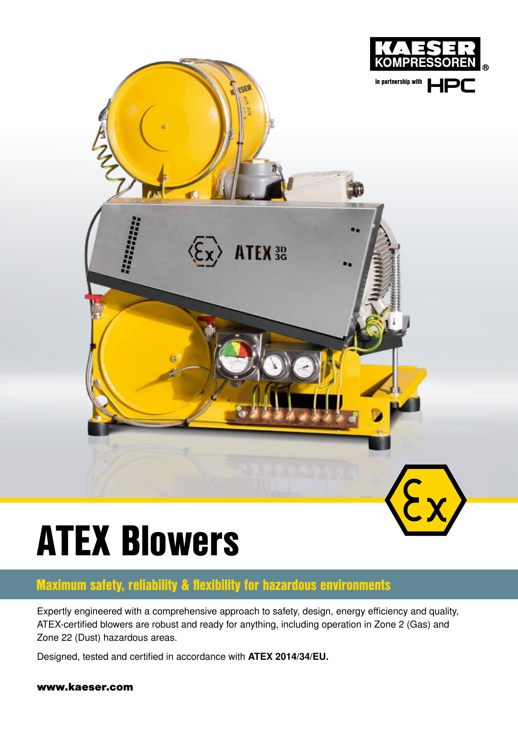

# ATEX Blowers

#### Maximum safety, reliability & flexibility for hazardous environments

Expertly engineered with a comprehensive approach to safety, design, energy efficiency and quality, ATEX-certified blowers are robust and ready for anything, including operation in Zone 2 (Gas) and Zone 22 (Dust) hazardous areas.

Designed, tested and certified in accordance with ATEX 2014/34/EU.